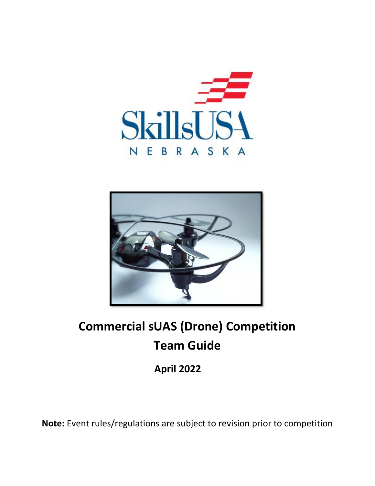



# **Commercial sUAS (Drone) Competition Team Guide**

**April 2022**

**Note:** Event rules/regulations are subject to revision prior to competition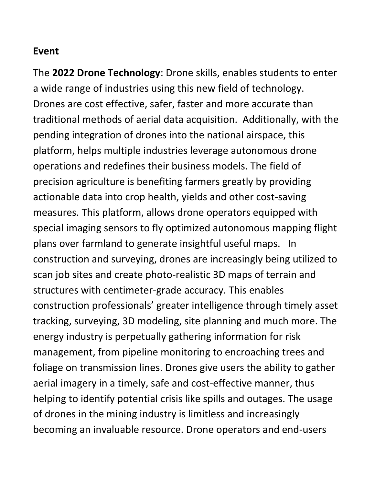#### **Event**

The **2022 Drone Technology**: Drone skills, enables students to enter a wide range of industries using this new field of technology. Drones are cost effective, safer, faster and more accurate than traditional methods of aerial data acquisition. Additionally, with the pending integration of drones into the national airspace, this platform, helps multiple industries leverage autonomous drone operations and redefines their business models. The field of precision agriculture is benefiting farmers greatly by providing actionable data into crop health, yields and other cost-saving measures. This platform, allows drone operators equipped with special imaging sensors to fly optimized autonomous mapping flight plans over farmland to generate insightful useful maps. In construction and surveying, drones are increasingly being utilized to scan job sites and create photo-realistic 3D maps of terrain and structures with centimeter-grade accuracy. This enables construction professionals' greater intelligence through timely asset tracking, surveying, 3D modeling, site planning and much more. The energy industry is perpetually gathering information for risk management, from pipeline monitoring to encroaching trees and foliage on transmission lines. Drones give users the ability to gather aerial imagery in a timely, safe and cost-effective manner, thus helping to identify potential crisis like spills and outages. The usage of drones in the mining industry is limitless and increasingly becoming an invaluable resource. Drone operators and end-users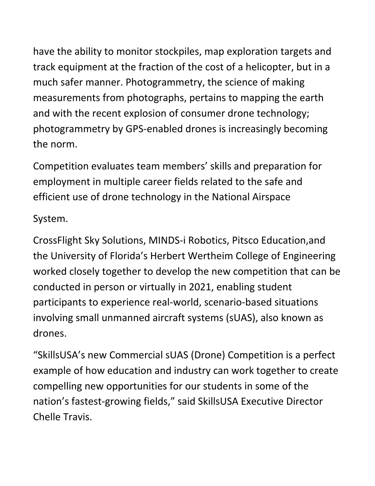have the ability to monitor stockpiles, map exploration targets and track equipment at the fraction of the cost of a helicopter, but in a much safer manner. Photogrammetry, the science of making measurements from photographs, pertains to mapping the earth and with the recent explosion of consumer drone technology; photogrammetry by GPS-enabled drones is increasingly becoming the norm.

Competition evaluates team members' skills and preparation for employment in multiple career fields related to the safe and efficient use of drone technology in the National Airspace

System.

CrossFlight Sky Solutions, MINDS-i Robotics, Pitsco Education,and the University of Florida's Herbert Wertheim College of Engineering worked closely together to develop the new competition that can be conducted in person or virtually in 2021, enabling student participants to experience real-world, scenario-based situations involving small unmanned aircraft systems (sUAS), also known as drones.

"SkillsUSA's new Commercial sUAS (Drone) Competition is a perfect example of how education and industry can work together to create compelling new opportunities for our students in some of the nation's fastest-growing fields," said SkillsUSA Executive Director Chelle Travis.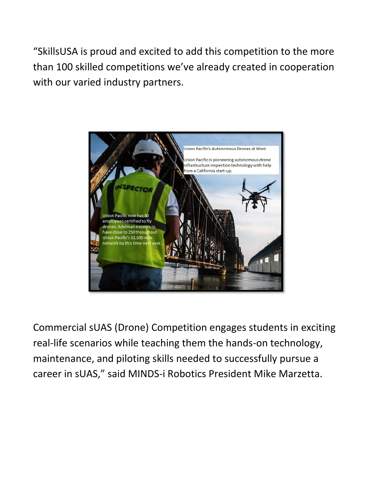"SkillsUSA is proud and excited to add this competition to the more than 100 skilled competitions we've already created in cooperation with our varied industry partners.



Commercial sUAS (Drone) Competition engages students in exciting real-life scenarios while teaching them the hands-on technology, maintenance, and piloting skills needed to successfully pursue a career in sUAS," said MINDS-i Robotics President Mike Marzetta.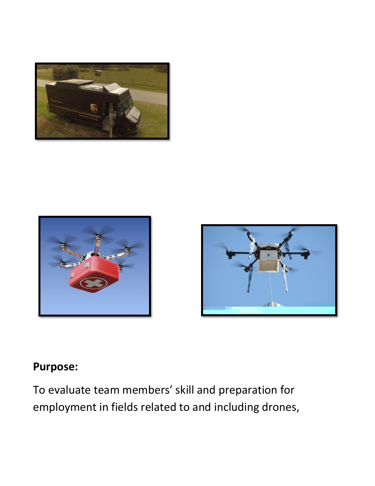





## **Purpose:**

To evaluate team members' skill and preparation for employment in fields related to and including drones,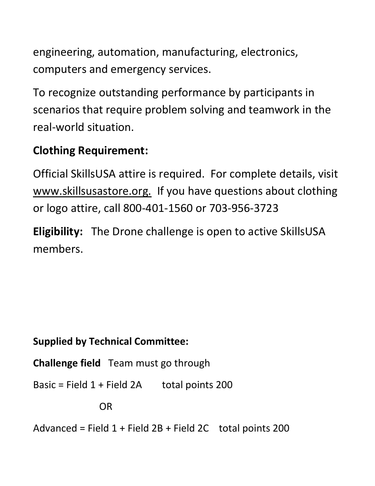engineering, automation, manufacturing, electronics, computers and emergency services.

To recognize outstanding performance by participants in scenarios that require problem solving and teamwork in the real-world situation.

## **Clothing Requirement:**

Official SkillsUSA attire is required. For complete details, visit www.skillsusastore.org. If you have questions about clothing or logo attire, call 800-401-1560 or 703-956-3723

**Eligibility:** The Drone challenge is open to active SkillsUSA members.

## **Supplied by Technical Committee:**

**Challenge field** Team must go through

Basic = Field  $1 +$  Field  $2A$  total points 200

OR

Advanced = Field  $1 +$  Field  $2B +$  Field  $2C$  total points 200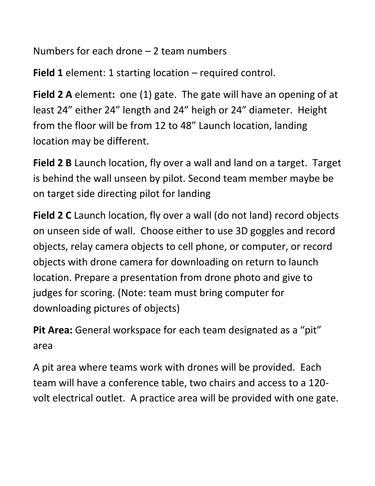Numbers for each drone – 2 team numbers

**Field 1** element: 1 starting location – required control.

**Field 2 A** element**:** one (1) gate. The gate will have an opening of at least 24" either 24" length and 24" heigh or 24" diameter. Height from the floor will be from 12 to 48" Launch location, landing location may be different.

**Field 2 B** Launch location, fly over a wall and land on a target. Target is behind the wall unseen by pilot. Second team member maybe be on target side directing pilot for landing

**Field 2 C** Launch location, fly over a wall (do not land) record objects on unseen side of wall. Choose either to use 3D goggles and record objects, relay camera objects to cell phone, or computer, or record objects with drone camera for downloading on return to launch location. Prepare a presentation from drone photo and give to judges for scoring. (Note: team must bring computer for downloading pictures of objects)

**Pit Area:** General workspace for each team designated as a "pit" area

A pit area where teams work with drones will be provided. Each team will have a conference table, two chairs and access to a 120 volt electrical outlet. A practice area will be provided with one gate.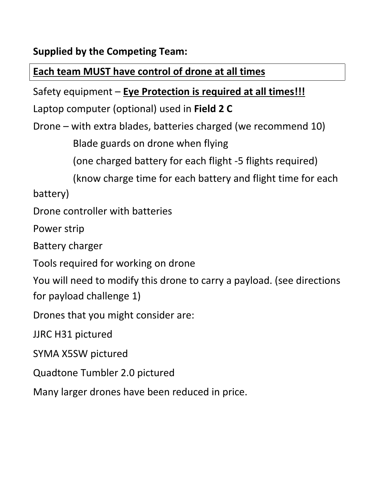**Supplied by the Competing Team:**

#### **Each team MUST have control of drone at all times**

Safety equipment – **Eye Protection is required at all times!!!**

Laptop computer (optional) used in **Field 2 C**

Drone – with extra blades, batteries charged (we recommend 10)

Blade guards on drone when flying

(one charged battery for each flight -5 flights required)

(know charge time for each battery and flight time for each

battery)

Drone controller with batteries

Power strip

Battery charger

Tools required for working on drone

You will need to modify this drone to carry a payload. (see directions for payload challenge 1)

Drones that you might consider are:

JJRC H31 pictured

SYMA X5SW pictured

Quadtone Tumbler 2.0 pictured

Many larger drones have been reduced in price.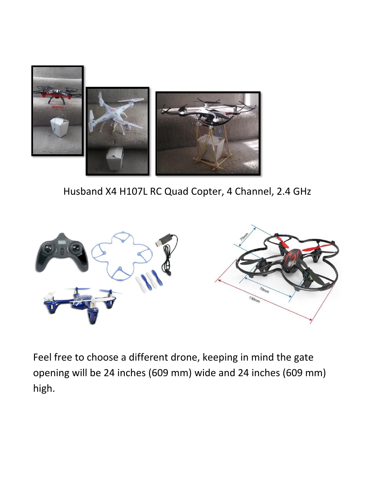

Husband X4 H107L RC Quad Copter, 4 Channel, 2.4 GHz



Feel free to choose a different drone, keeping in mind the gate opening will be 24 inches (609 mm) wide and 24 inches (609 mm) high.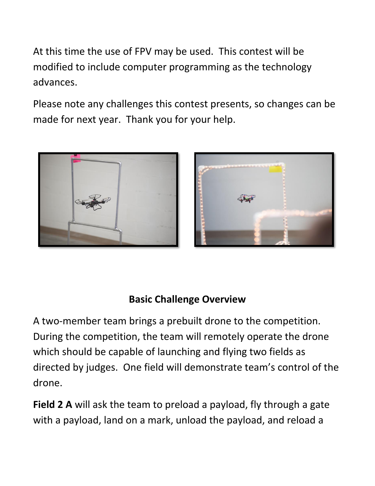At this time the use of FPV may be used. This contest will be modified to include computer programming as the technology advances.

Please note any challenges this contest presents, so changes can be made for next year. Thank you for your help.





#### **Basic Challenge Overview**

A two-member team brings a prebuilt drone to the competition. During the competition, the team will remotely operate the drone which should be capable of launching and flying two fields as directed by judges. One field will demonstrate team's control of the drone.

**Field 2 A** will ask the team to preload a payload, fly through a gate with a payload, land on a mark, unload the payload, and reload a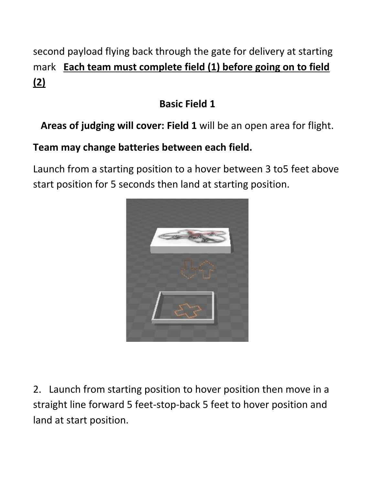## second payload flying back through the gate for delivery at starting mark **Each team must complete field (1) before going on to field (2)**

## **Basic Field 1**

## **Areas of judging will cover: Field 1** will be an open area for flight.

## **Team may change batteries between each field.**

Launch from a starting position to a hover between 3 to5 feet above start position for 5 seconds then land at starting position.



2. Launch from starting position to hover position then move in a straight line forward 5 feet-stop-back 5 feet to hover position and land at start position.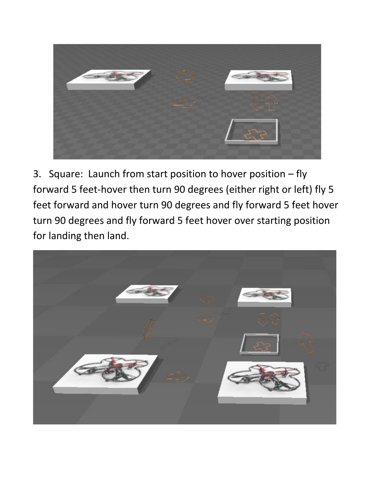

3. Square: Launch from start position to hover position – fly forward 5 feet-hover then turn 90 degrees (either right or left) fly 5 feet forward and hover turn 90 degrees and fly forward 5 feet hover turn 90 degrees and fly forward 5 feet hover over starting position for landing then land.

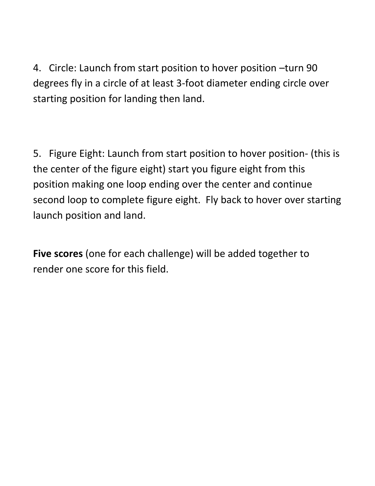4. Circle: Launch from start position to hover position –turn 90 degrees fly in a circle of at least 3-foot diameter ending circle over starting position for landing then land.

5. Figure Eight: Launch from start position to hover position- (this is the center of the figure eight) start you figure eight from this position making one loop ending over the center and continue second loop to complete figure eight. Fly back to hover over starting launch position and land.

**Five scores** (one for each challenge) will be added together to render one score for this field.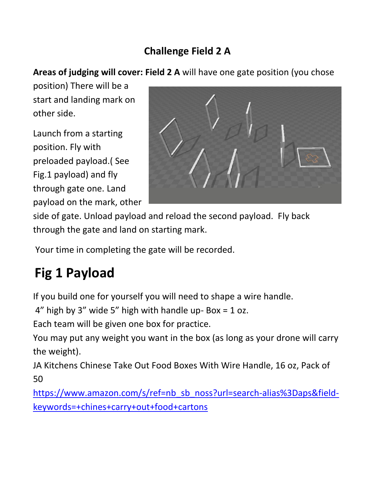## **Challenge Field 2 A**

#### **Areas of judging will cover: Field 2 A** will have one gate position (you chose

position) There will be a start and landing mark on other side.

Launch from a starting position. Fly with preloaded payload.( See Fig.1 payload) and fly through gate one. Land payload on the mark, other



side of gate. Unload payload and reload the second payload. Fly back through the gate and land on starting mark.

Your time in completing the gate will be recorded.

## **Fig 1 Payload**

If you build one for yourself you will need to shape a wire handle.

 $4''$  high by 3" wide 5" high with handle up-Box = 1 oz.

Each team will be given one box for practice.

You may put any weight you want in the box (as long as your drone will carry the weight).

JA Kitchens Chinese Take Out Food Boxes With Wire Handle, 16 oz, Pack of 50

[https://www.amazon.com/s/ref=nb\\_sb\\_noss?url=search-alias%3Daps&field](https://www.amazon.com/s/ref=nb_sb_noss?url=search-alias%3Daps&field-keywords=+chines+carry+out+food+cartons)[keywords=+chines+carry+out+food+cartons](https://www.amazon.com/s/ref=nb_sb_noss?url=search-alias%3Daps&field-keywords=+chines+carry+out+food+cartons)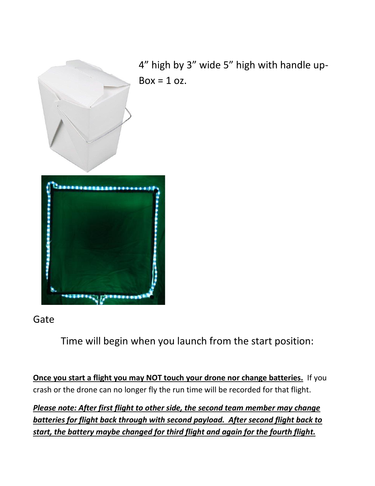

4" high by 3" wide 5" high with handle up- $Box = 1 oz$ .



#### Gate

Time will begin when you launch from the start position:

**Once you start a flight you may NOT touch your drone nor change batteries.** If you crash or the drone can no longer fly the run time will be recorded for that flight.

*Please note: After first flight to other side, the second team member may change batteries for flight back through with second payload. After second flight back to start, the battery maybe changed for third flight and again for the fourth flight.*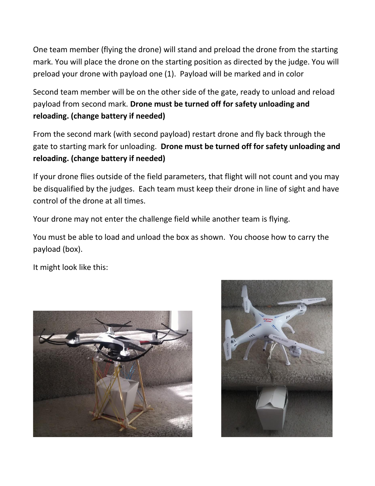One team member (flying the drone) will stand and preload the drone from the starting mark. You will place the drone on the starting position as directed by the judge. You will preload your drone with payload one (1). Payload will be marked and in color

Second team member will be on the other side of the gate, ready to unload and reload payload from second mark. **Drone must be turned off for safety unloading and reloading. (change battery if needed)**

From the second mark (with second payload) restart drone and fly back through the gate to starting mark for unloading. **Drone must be turned off for safety unloading and reloading. (change battery if needed)**

If your drone flies outside of the field parameters, that flight will not count and you may be disqualified by the judges. Each team must keep their drone in line of sight and have control of the drone at all times.

Your drone may not enter the challenge field while another team is flying.

You must be able to load and unload the box as shown. You choose how to carry the payload (box).

It might look like this:



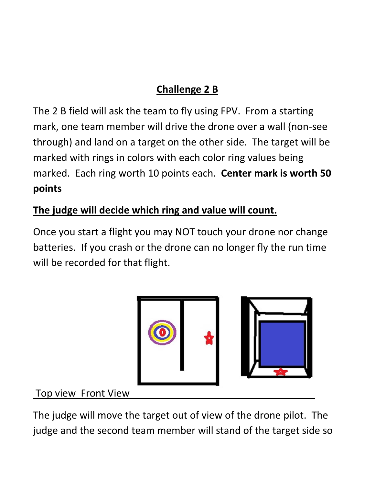## **Challenge 2 B**

The 2 B field will ask the team to fly using FPV. From a starting mark, one team member will drive the drone over a wall (non-see through) and land on a target on the other side. The target will be marked with rings in colors with each color ring values being marked. Each ring worth 10 points each. **Center mark is worth 50 points**

## **The judge will decide which ring and value will count.**

Once you start a flight you may NOT touch your drone nor change batteries. If you crash or the drone can no longer fly the run time will be recorded for that flight.



#### Top view Front View

The judge will move the target out of view of the drone pilot. The judge and the second team member will stand of the target side so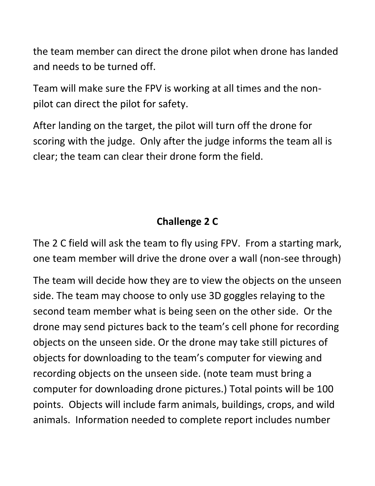the team member can direct the drone pilot when drone has landed and needs to be turned off.

Team will make sure the FPV is working at all times and the nonpilot can direct the pilot for safety.

After landing on the target, the pilot will turn off the drone for scoring with the judge. Only after the judge informs the team all is clear; the team can clear their drone form the field.

## **Challenge 2 C**

The 2 C field will ask the team to fly using FPV. From a starting mark, one team member will drive the drone over a wall (non-see through)

The team will decide how they are to view the objects on the unseen side. The team may choose to only use 3D goggles relaying to the second team member what is being seen on the other side. Or the drone may send pictures back to the team's cell phone for recording objects on the unseen side. Or the drone may take still pictures of objects for downloading to the team's computer for viewing and recording objects on the unseen side. (note team must bring a computer for downloading drone pictures.) Total points will be 100 points. Objects will include farm animals, buildings, crops, and wild animals. Information needed to complete report includes number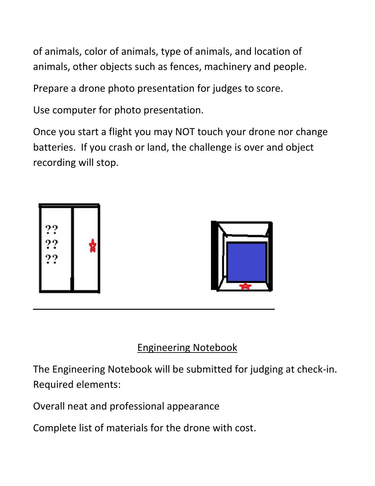of animals, color of animals, type of animals, and location of animals, other objects such as fences, machinery and people.

Prepare a drone photo presentation for judges to score.

Use computer for photo presentation.

Once you start a flight you may NOT touch your drone nor change batteries. If you crash or land, the challenge is over and object recording will stop.





#### Engineering Notebook

The Engineering Notebook will be submitted for judging at check-in. Required elements:

Overall neat and professional appearance

 $\overline{a}$ 

Complete list of materials for the drone with cost.